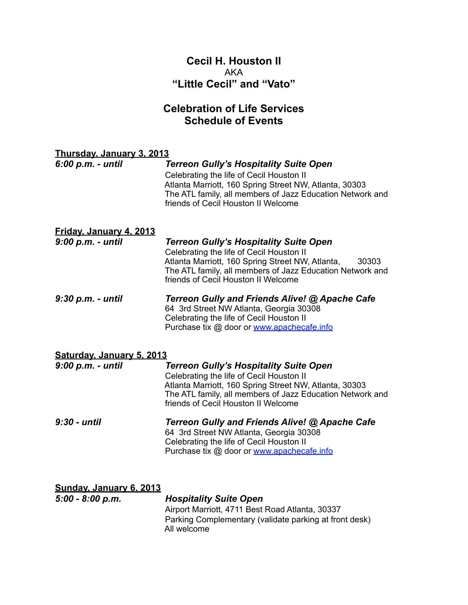## **Cecil H. Houston II** AKA **"Little Cecil" and "Vato"**

## **Celebration of Life Services Schedule of Events**

| Thursday, January 3, 2013                            |                                                                                                                                                                                                                                                            |
|------------------------------------------------------|------------------------------------------------------------------------------------------------------------------------------------------------------------------------------------------------------------------------------------------------------------|
| 6:00 p.m. - until                                    | <b>Terreon Gully's Hospitality Suite Open</b><br>Celebrating the life of Cecil Houston II<br>Atlanta Marriott, 160 Spring Street NW, Atlanta, 30303<br>The ATL family, all members of Jazz Education Network and<br>friends of Cecil Houston II Welcome    |
| <u>Friday, January 4, 2013</u><br>9:00 p.m. - until  | <b>Terreon Gully's Hospitality Suite Open</b><br>Celebrating the life of Cecil Houston II<br>Atlanta Marriott, 160 Spring Street NW, Atlanta,<br>30303<br>The ATL family, all members of Jazz Education Network and<br>friends of Cecil Houston II Welcome |
| 9:30 p.m. - until                                    | Terreon Gully and Friends Alive! @ Apache Cafe<br>64 3rd Street NW Atlanta, Georgia 30308<br>Celebrating the life of Cecil Houston II<br>Purchase tix @ door or www.apachecafe.info                                                                        |
|                                                      |                                                                                                                                                                                                                                                            |
| Saturday, January 5, 2013<br>9:00 p.m. - until       | <b>Terreon Gully's Hospitality Suite Open</b><br>Celebrating the life of Cecil Houston II<br>Atlanta Marriott, 160 Spring Street NW, Atlanta, 30303<br>The ATL family, all members of Jazz Education Network and<br>friends of Cecil Houston II Welcome    |
| $9:30$ - until                                       | Terreon Gully and Friends Alive! @ Apache Cafe<br>64 3rd Street NW Atlanta, Georgia 30308<br>Celebrating the life of Cecil Houston II<br>Purchase tix @ door or www.apachecafe.info                                                                        |
| <b>Sunday, January 6, 2013</b><br>$5:00 - 8:00 p.m.$ | <b>Hospitality Suite Open</b><br>Airport Marriott, 4711 Best Road Atlanta, 30337<br>Parking Complementary (validate parking at front desk)                                                                                                                 |

All welcome